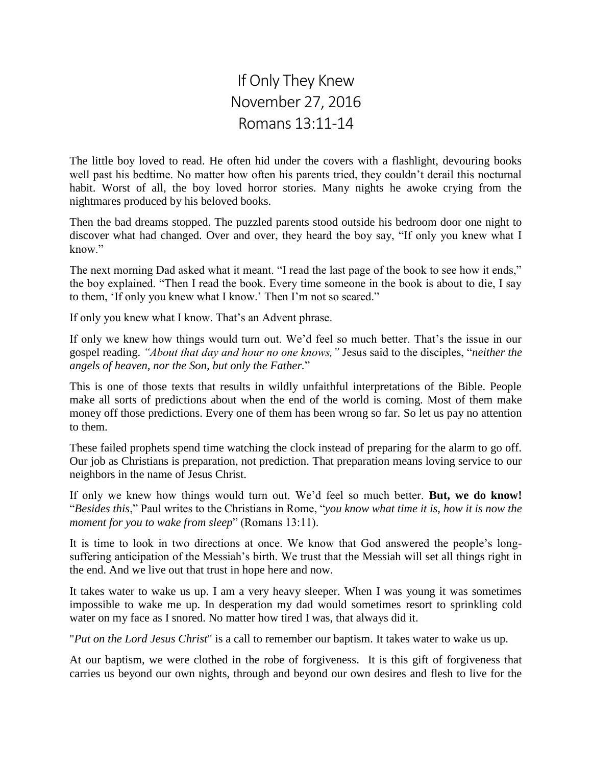## If Only They Knew November 27, 2016 Romans 13:11-14

The little boy loved to read. He often hid under the covers with a flashlight, devouring books well past his bedtime. No matter how often his parents tried, they couldn't derail this nocturnal habit. Worst of all, the boy loved horror stories. Many nights he awoke crying from the nightmares produced by his beloved books.

Then the bad dreams stopped. The puzzled parents stood outside his bedroom door one night to discover what had changed. Over and over, they heard the boy say, "If only you knew what I know."

The next morning Dad asked what it meant. "I read the last page of the book to see how it ends," the boy explained. "Then I read the book. Every time someone in the book is about to die, I say to them, 'If only you knew what I know.' Then I'm not so scared."

If only you knew what I know. That's an Advent phrase.

If only we knew how things would turn out. We'd feel so much better. That's the issue in our gospel reading. *"About that day and hour no one knows,"* Jesus said to the disciples, "*neither the angels of heaven, nor the Son, but only the Father.*"

This is one of those texts that results in wildly unfaithful interpretations of the Bible. People make all sorts of predictions about when the end of the world is coming. Most of them make money off those predictions. Every one of them has been wrong so far. So let us pay no attention to them.

These failed prophets spend time watching the clock instead of preparing for the alarm to go off. Our job as Christians is preparation, not prediction. That preparation means loving service to our neighbors in the name of Jesus Christ.

If only we knew how things would turn out. We'd feel so much better. **But, we do know!** "*Besides this*," Paul writes to the Christians in Rome, "*you know what time it is, how it is now the moment for you to wake from sleep*" (Romans 13:11).

It is time to look in two directions at once. We know that God answered the people's longsuffering anticipation of the Messiah's birth. We trust that the Messiah will set all things right in the end. And we live out that trust in hope here and now.

It takes water to wake us up. I am a very heavy sleeper. When I was young it was sometimes impossible to wake me up. In desperation my dad would sometimes resort to sprinkling cold water on my face as I snored. No matter how tired I was, that always did it.

"*Put on the Lord Jesus Christ*" is a call to remember our baptism. It takes water to wake us up.

At our baptism, we were clothed in the robe of forgiveness. It is this gift of forgiveness that carries us beyond our own nights, through and beyond our own desires and flesh to live for the